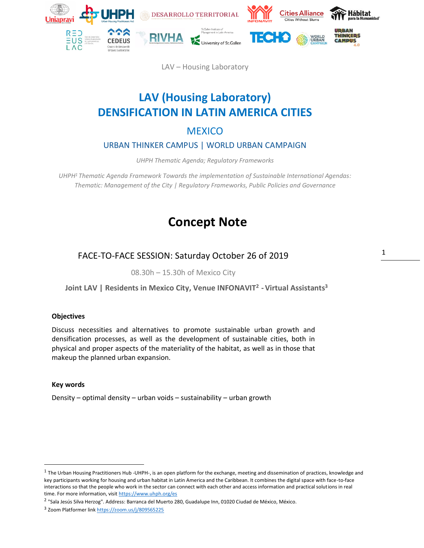

LAV – Housing Laboratory

# **LAV (Housing Laboratory) DENSIFICATION IN LATIN AMERICA CITIES**

# **MEXICO**

# URBAN THINKER CAMPUS | WORLD URBAN CAMPAIGN

*UHPH Thematic Agenda; Regulatory Frameworks*

*UHPH<sup>1</sup> Thematic Agenda Framework Towards the implementation of Sustainable International Agendas: Thematic: Management of the City | Regulatory Frameworks, Public Policies and Governance*

# **Concept Note**

FACE-TO-FACE SESSION: Saturday October 26 of 2019

08.30h – 15.30h of Mexico City

**Joint LAV | Residents in Mexico City, Venue INFONAVIT<sup>2</sup> - Virtual Assistants<sup>3</sup>**

## **Objectives**

Discuss necessities and alternatives to promote sustainable urban growth and densification processes, as well as the development of sustainable cities, both in physical and proper aspects of the materiality of the habitat, as well as in those that makeup the planned urban expansion.

### **Key words**

Density – optimal density – urban voids – sustainability – urban growth

<sup>2</sup> "Sala Jesús Silva Herzog". Address: Barranca del Muerto 280, Guadalupe Inn, 01020 Ciudad de México, México.

<sup>&</sup>lt;sup>1</sup> The Urban Housing Practitioners Hub -UHPH-, is an open platform for the exchange, meeting and dissemination of practices, knowledge and key participants working for housing and urban habitat in Latin America and the Caribbean. It combines the digital space with face-to-face interactions so that the people who work in the sector can connect with each other and access information and practical solutions in real time. For more information, visit https:/[/www.uhph.org/es](http://www.uhph.org/es)

<sup>&</sup>lt;sup>3</sup> Zoom Platformer link https://zoom.us/j/809565225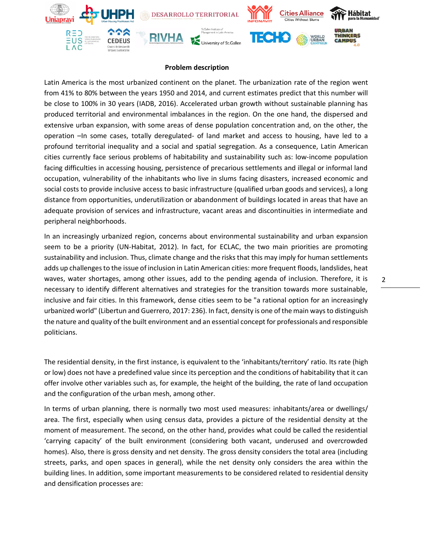

### **Problem description**

Latin America is the most urbanized continent on the planet. The urbanization rate of the region went from 41% to 80% between the years 1950 and 2014, and current estimates predict that this number will be close to 100% in 30 years (IADB, 2016). Accelerated urban growth without sustainable planning has produced territorial and environmental imbalances in the region. On the one hand, the dispersed and extensive urban expansion, with some areas of dense population concentration and, on the other, the operation –In some cases, totally deregulated- of land market and access to housing, have led to a profound territorial inequality and a social and spatial segregation. As a consequence, Latin American cities currently face serious problems of habitability and sustainability such as: low-income population facing difficulties in accessing housing, persistence of precarious settlements and illegal or informal land occupation, vulnerability of the inhabitants who live in slums facing disasters, increased economic and social costs to provide inclusive access to basic infrastructure (qualified urban goods and services), a long distance from opportunities, underutilization or abandonment of buildings located in areas that have an adequate provision of services and infrastructure, vacant areas and discontinuities in intermediate and peripheral neighborhoods.

In an increasingly urbanized region, concerns about environmental sustainability and urban expansion seem to be a priority (UN-Habitat, 2012). In fact, for ECLAC, the two main priorities are promoting sustainability and inclusion. Thus, climate change and the risks that this may imply for human settlements adds up challenges to the issue of inclusion in Latin American cities: more frequent floods, landslides, heat waves, water shortages, among other issues, add to the pending agenda of inclusion. Therefore, it is necessary to identify different alternatives and strategies for the transition towards more sustainable, inclusive and fair cities. In this framework, dense cities seem to be "a rational option for an increasingly urbanized world" (Libertun and Guerrero, 2017: 236). In fact, density is one of the main ways to distinguish the nature and quality of the built environment and an essential concept for professionals and responsible politicians.

The residential density, in the first instance, is equivalent to the 'inhabitants/territory' ratio. Its rate (high or low) does not have a predefined value since its perception and the conditions of habitability that it can offer involve other variables such as, for example, the height of the building, the rate of land occupation and the configuration of the urban mesh, among other.

In terms of urban planning, there is normally two most used measures: inhabitants/area or dwellings/ area. The first, especially when using census data, provides a picture of the residential density at the moment of measurement. The second, on the other hand, provides what could be called the residential 'carrying capacity' of the built environment (considering both vacant, underused and overcrowded homes). Also, there is gross density and net density. The gross density considers the total area (including streets, parks, and open spaces in general), while the net density only considers the area within the building lines. In addition, some important measurements to be considered related to residential density and densification processes are: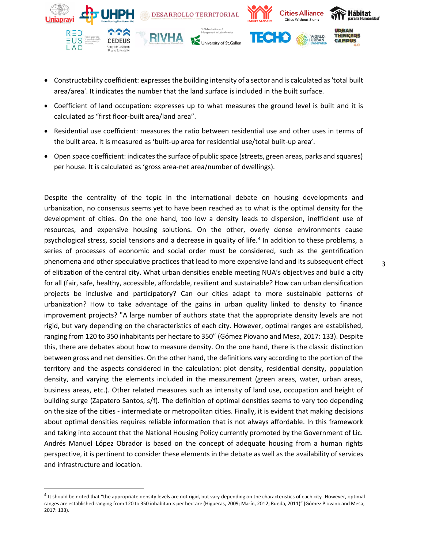

- Constructability coefficient: expresses the building intensity of a sector and is calculated as 'total built area/area'. It indicates the number that the land surface is included in the built surface.
- Coefficient of land occupation: expresses up to what measures the ground level is built and it is calculated as "first floor-built area/land area".
- Residential use coefficient: measures the ratio between residential use and other uses in terms of the built area. It is measured as 'built-up area for residential use/total built-up area'.
- Open space coefficient: indicates the surface of public space (streets, green areas, parks and squares) per house. It is calculated as 'gross area-net area/number of dwellings).

Despite the centrality of the topic in the international debate on housing developments and urbanization, no consensus seems yet to have been reached as to what is the optimal density for the development of cities. On the one hand, too low a density leads to dispersion, inefficient use of resources, and expensive housing solutions. On the other, overly dense environments cause psychological stress, social tensions and a decrease in quality of life.<sup>4</sup> In addition to these problems, a series of processes of economic and social order must be considered, such as the gentrification phenomena and other speculative practices that lead to more expensive land and its subsequent effect of elitization of the central city. What urban densities enable meeting NUA's objectives and build a city for all (fair, safe, healthy, accessible, affordable, resilient and sustainable? How can urban densification projects be inclusive and participatory? Can our cities adapt to more sustainable patterns of urbanization? How to take advantage of the gains in urban quality linked to density to finance improvement projects? "A large number of authors state that the appropriate density levels are not rigid, but vary depending on the characteristics of each city. However, optimal ranges are established, ranging from 120 to 350 inhabitants per hectare to 350" (Gómez Piovano and Mesa, 2017: 133). Despite this, there are debates about how to measure density. On the one hand, there is the classic distinction between gross and net densities. On the other hand, the definitions vary according to the portion of the territory and the aspects considered in the calculation: plot density, residential density, population density, and varying the elements included in the measurement (green areas, water, urban areas, business areas, etc.). Other related measures such as intensity of land use, occupation and height of building surge (Zapatero Santos, s/f). The definition of optimal densities seems to vary too depending on the size of the cities - intermediate or metropolitan cities. Finally, it is evident that making decisions about optimal densities requires reliable information that is not always affordable. In this framework and taking into account that the National Housing Policy currently promoted by the Government of Lic. Andrés Manuel López Obrador is based on the concept of adequate housing from a human rights perspective, it is pertinent to consider these elements in the debate as well as the availability of services and infrastructure and location.

<sup>&</sup>lt;sup>4</sup> It should be noted that "the appropriate density levels are not rigid, but vary depending on the characteristics of each city. However, optimal ranges are established ranging from 120 to 350 inhabitants per hectare (Higueras, 2009; Marín, 2012; Rueda, 2011)" (Gómez Piovano and Mesa, 2017: 133).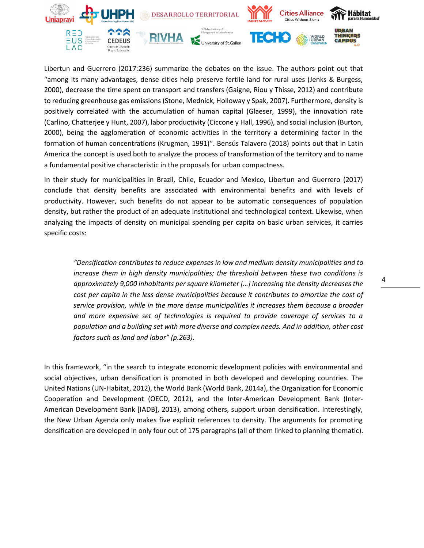

Libertun and Guerrero (2017:236) summarize the debates on the issue. The authors point out that "among its many advantages, dense cities help preserve fertile land for rural uses (Jenks & Burgess, 2000), decrease the time spent on transport and transfers (Gaigne, Riou y Thisse, 2012) and contribute to reducing greenhouse gas emissions (Stone, Mednick, Holloway y Spak, 2007). Furthermore, density is positively correlated with the accumulation of human capital (Glaeser, 1999), the innovation rate (Carlino, Chatterjee y Hunt, 2007), labor productivity (Ciccone y Hall, 1996), and social inclusion (Burton, 2000), being the agglomeration of economic activities in the territory a determining factor in the formation of human concentrations (Krugman, 1991)". Bensús Talavera (2018) points out that in Latin America the concept is used both to analyze the process of transformation of the territory and to name a fundamental positive characteristic in the proposals for urban compactness.

In their study for municipalities in Brazil, Chile, Ecuador and Mexico, Libertun and Guerrero (2017) conclude that density benefits are associated with environmental benefits and with levels of productivity. However, such benefits do not appear to be automatic consequences of population density, but rather the product of an adequate institutional and technological context. Likewise, when analyzing the impacts of density on municipal spending per capita on basic urban services, it carries specific costs:

*"Densification contributes to reduce expenses in low and medium density municipalities and to increase them in high density municipalities; the threshold between these two conditions is approximately 9,000 inhabitants per square kilometer […] increasing the density decreases the cost per capita in the less dense municipalities because it contributes to amortize the cost of service provision, while in the more dense municipalities it increases them because a broader and more expensive set of technologies is required to provide coverage of services to a population and a building set with more diverse and complex needs. And in addition, other cost factors such as land and labor" (p.263).*

In this framework, "in the search to integrate economic development policies with environmental and social objectives, urban densification is promoted in both developed and developing countries. The United Nations (UN-Habitat, 2012), the World Bank (World Bank, 2014a), the Organization for Economic Cooperation and Development (OECD, 2012), and the Inter-American Development Bank (Inter-American Development Bank [IADB], 2013), among others, support urban densification. Interestingly, the New Urban Agenda only makes five explicit references to density. The arguments for promoting densification are developed in only four out of 175 paragraphs (all of them linked to planning thematic).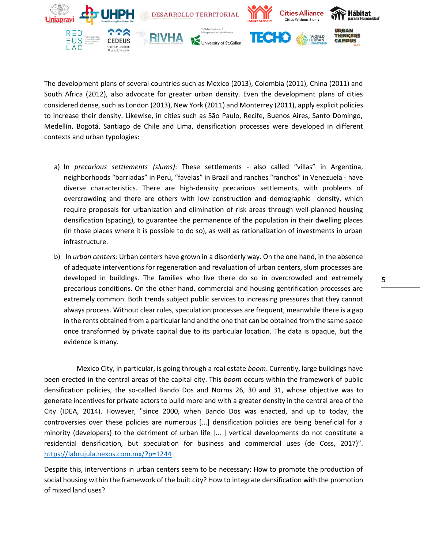

The development plans of several countries such as Mexico (2013), Colombia (2011), China (2011) and South Africa (2012), also advocate for greater urban density. Even the development plans of cities considered dense, such as London (2013), New York (2011) and Monterrey (2011), apply explicit policies to increase their density. Likewise, in cities such as São Paulo, Recife, Buenos Aires, Santo Domingo, Medellín, Bogotá, Santiago de Chile and Lima, densification processes were developed in different contexts and urban typologies:

- a) In *precarious settlements (slums)*: These settlements also called "villas" in Argentina, neighborhoods "barriadas" in Peru, "favelas" in Brazil and ranches "ranchos" in Venezuela - have diverse characteristics. There are high-density precarious settlements, with problems of overcrowding and there are others with low construction and demographic density, which require proposals for urbanization and elimination of risk areas through well-planned housing densification (spacing), to guarantee the permanence of the population in their dwelling places (in those places where it is possible to do so), as well as rationalization of investments in urban infrastructure.
- b) In *urban centers:* Urban centers have grown in a disorderly way. On the one hand, in the absence of adequate interventions for regeneration and revaluation of urban centers, slum processes are developed in buildings. The families who live there do so in overcrowded and extremely precarious conditions. On the other hand, commercial and housing gentrification processes are extremely common. Both trends subject public services to increasing pressures that they cannot always process. Without clear rules, speculation processes are frequent, meanwhile there is a gap in the rents obtained from a particular land and the one that can be obtained from the same space once transformed by private capital due to its particular location. The data is opaque, but the evidence is many.

Mexico City, in particular, is going through a real estate *boom*. Currently, large buildings have been erected in the central areas of the capital city. This *boom* occurs within the framework of public densification policies, the so-called Bando Dos and Norms 26, 30 and 31, whose objective was to generate incentives for private actors to build more and with a greater density in the central area of the City (IDEA, 2014). However, "since 2000, when Bando Dos was enacted, and up to today, the controversies over these policies are numerous [...] densification policies are being beneficial for a minority (developers) to the detriment of urban life [... ] vertical developments do not constitute a residential densification, but speculation for business and commercial uses (de Coss, 2017)". https://labrujula.nexos.com.mx/?p=1244

Despite this, interventions in urban centers seem to be necessary: How to promote the production of social housing within the framework of the built city? How to integrate densification with the promotion of mixed land uses?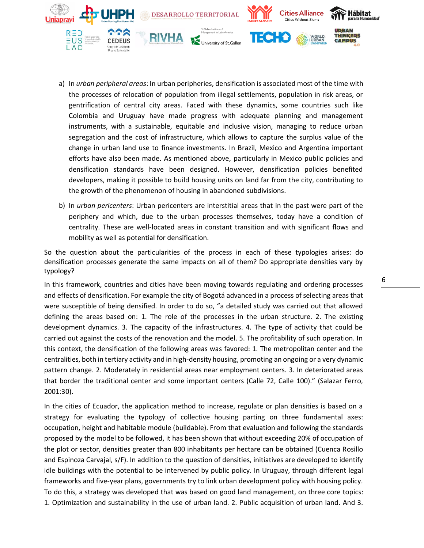

- a) In *urban peripheral areas*: In urban peripheries, densification is associated most of the time with the processes of relocation of population from illegal settlements, population in risk areas, or gentrification of central city areas. Faced with these dynamics, some countries such like Colombia and Uruguay have made progress with adequate planning and management instruments, with a sustainable, equitable and inclusive vision, managing to reduce urban segregation and the cost of infrastructure, which allows to capture the surplus value of the change in urban land use to finance investments. In Brazil, Mexico and Argentina important efforts have also been made. As mentioned above, particularly in Mexico public policies and densification standards have been designed. However, densification policies benefited developers, making it possible to build housing units on land far from the city, contributing to the growth of the phenomenon of housing in abandoned subdivisions.
- b) In *urban pericenters*: Urban pericenters are interstitial areas that in the past were part of the periphery and which, due to the urban processes themselves, today have a condition of centrality. These are well-located areas in constant transition and with significant flows and mobility as well as potential for densification.

So the question about the particularities of the process in each of these typologies arises: do densification processes generate the same impacts on all of them? Do appropriate densities vary by typology?

In this framework, countries and cities have been moving towards regulating and ordering processes and effects of densification. For example the city of Bogotá advanced in a process of selecting areas that were susceptible of being densified. In order to do so, "a detailed study was carried out that allowed defining the areas based on: 1. The role of the processes in the urban structure. 2. The existing development dynamics. 3. The capacity of the infrastructures. 4. The type of activity that could be carried out against the costs of the renovation and the model. 5. The profitability of such operation. In this context, the densification of the following areas was favored: 1. The metropolitan center and the centralities, both in tertiary activity and in high-density housing, promoting an ongoing or a very dynamic pattern change. 2. Moderately in residential areas near employment centers. 3. In deteriorated areas that border the traditional center and some important centers (Calle 72, Calle 100)." (Salazar Ferro, 2001:30).

In the cities of Ecuador, the application method to increase, regulate or plan densities is based on a strategy for evaluating the typology of collective housing parting on three fundamental axes: occupation, height and habitable module (buildable). From that evaluation and following the standards proposed by the model to be followed, it has been shown that without exceeding 20% of occupation of the plot or sector, densities greater than 800 inhabitants per hectare can be obtained (Cuenca Rosillo and Espinoza Carvajal, s/F). In addition to the question of densities, initiatives are developed to identify idle buildings with the potential to be intervened by public policy. In Uruguay, through different legal frameworks and five-year plans, governments try to link urban development policy with housing policy. To do this, a strategy was developed that was based on good land management, on three core topics: 1. Optimization and sustainability in the use of urban land. 2. Public acquisition of urban land. And 3.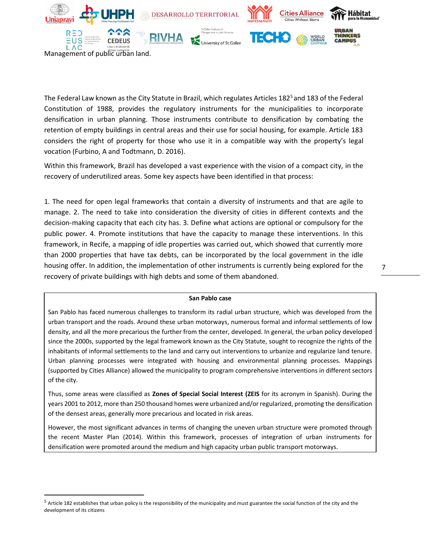

Management of public urban land.

The Federal Law known as the City Statute in Brazil, which regulates Articles 182<sup>5</sup> and 183 of the Federal Constitution of 1988, provides the regulatory instruments for the municipalities to incorporate densification in urban planning. Those instruments contribute to densification by combating the retention of empty buildings in central areas and their use for social housing, for example. Article 183 considers the right of property for those who use it in a compatible way with the property's legal vocation (Furbino, A and Todtmann, D. 2016).

Within this framework, Brazil has developed a vast experience with the vision of a compact city, in the recovery of underutilized areas. Some key aspects have been identified in that process:

1. The need for open legal frameworks that contain a diversity of instruments and that are agile to manage. 2. The need to take into consideration the diversity of cities in different contexts and the decision-making capacity that each city has. 3. Define what actions are optional or compulsory for the public power. 4. Promote institutions that have the capacity to manage these interventions. In this framework, in Recife, a mapping of idle properties was carried out, which showed that currently more than 2000 properties that have tax debts, can be incorporated by the local government in the idle housing offer. In addition, the implementation of other instruments is currently being explored for the recovery of private buildings with high debts and some of them abandoned.

7

#### **San Pablo case**

San Pablo has faced numerous challenges to transform its radial urban structure, which was developed from the urban transport and the roads. Around these urban motorways, numerous formal and informal settlements of low density, and all the more precarious the further from the center, developed. In general, the urban policy developed since the 2000s, supported by the legal framework known as the City Statute, sought to recognize the rights of the inhabitants of informal settlements to the land and carry out interventions to urbanize and regularize land tenure. Urban planning processes were integrated with housing and environmental planning processes. Mappings (supported by Cities Alliance) allowed the municipality to program comprehensive interventions in different sectors of the city.

Thus, some areas were classified as **Zones of Special Social Interest (ZEIS** for its acronym in Spanish). During the years 2001 to 2012, more than 250 thousand homes were urbanized and/or regularized, promoting the densification of the densest areas, generally more precarious and located in risk areas.

However, the most significant advances in terms of changing the uneven urban structure were promoted through the recent Master Plan (2014). Within this framework, processes of integration of urban instruments for densification were promoted around the medium and high capacity urban public transport motorways.

<sup>&</sup>lt;sup>5</sup> Article 182 establishes that urban policy is the responsibility of the municipality and must guarantee the social function of the city and the development of its citizens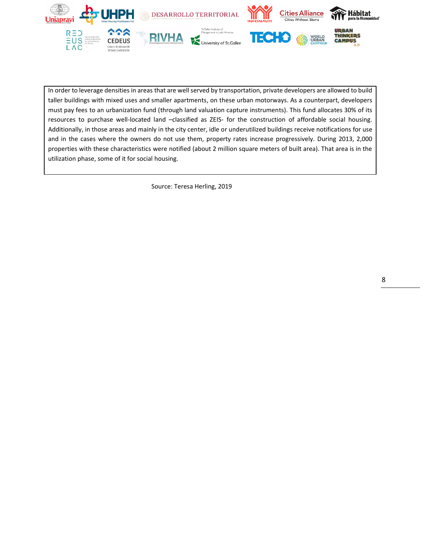

In order to leverage densities in areas that are well served by transportation, private developers are allowed to build taller buildings with mixed uses and smaller apartments, on these urban motorways. As a counterpart, developers must pay fees to an urbanization fund (through land valuation capture instruments). This fund allocates 30% of its resources to purchase well-located land –classified as ZEIS- for the construction of affordable social housing. Additionally, in those areas and mainly in the city center, idle or underutilized buildings receive notifications for use and in the cases where the owners do not use them, property rates increase progressively. During 2013, 2,000 properties with these characteristics were notified (about 2 million square meters of built area). That area is in the utilization phase, some of it for social housing.

Source: Teresa Herling, 2019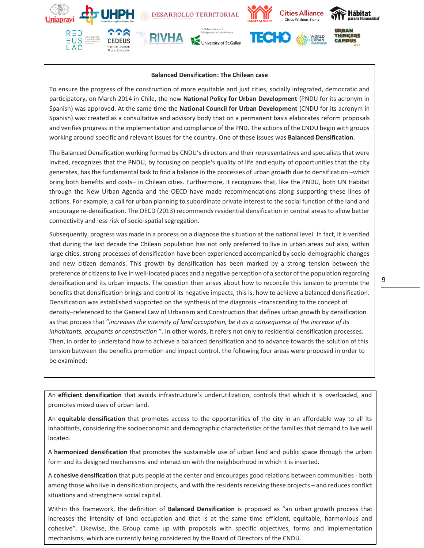

#### **Balanced Densification: The Chilean case**

To ensure the progress of the construction of more equitable and just cities, socially integrated, democratic and participatory, on March 2014 in Chile, the new **National Policy for Urban Development** (PNDU for its acronym in Spanish) was approved. At the same time the **National Council for Urban Development** (CNDU for its acronym in Spanish) was created as a consultative and advisory body that on a permanent basis elaborates reform proposals and verifies progress in the implementation and compliance of the PND. The actions of the CNDU begin with groups working around specific and relevant issues for the country. One of these issues was **Balanced Densification**.

The Balanced Densification working formed by CNDU's directors and their representatives and specialists that were invited, recognizes that the PNDU, by focusing on people's quality of life and equity of opportunities that the city generates, has the fundamental task to find a balance in the processes of urban growth due to densification –which bring both benefits and costs– in Chilean cities. Furthermore, it recognizes that, like the PNDU, both UN Habitat through the New Urban Agenda and the OECD have made recommendations along supporting these lines of actions. For example, a call for urban planning to subordinate private interest to the social function of the land and encourage re-densification. The OECD (2013) recommends residential densification in central areas to allow better connectivity and less risk of socio-spatial segregation.

Subsequently, progress was made in a process on a diagnose the situation at the national level. In fact, it is verified that during the last decade the Chilean population has not only preferred to live in urban areas but also, within large cities, strong processes of densification have been experienced accompanied by socio-demographic changes and new citizen demands. This growth by densification has been marked by a strong tension between the preference of citizens to live in well-located places and a negative perception of a sector of the population regarding densification and its urban impacts. The question then arises about how to reconcile this tension to promote the benefits that densification brings and control its negative impacts, this is, how to achieve a balanced densification. Densification was established supported on the synthesis of the diagnosis –transcending to the concept of density–referenced to the General Law of Urbanism and Construction that defines urban growth by densification as that process that "*increases the intensity of land occupation, be it as a consequence of the increase of its inhabitants, occupants or construction* ". In other words, it refers not only to residential densification processes. Then, in order to understand how to achieve a balanced densification and to advance towards the solution of this tension between the benefits promotion and impact control, the following four areas were proposed in order to be examined:

An **efficient densification** that avoids infrastructure's underutilization, controls that which it is overloaded, and An **efficient densification** that avoids infrastructure's underutilization, controls that which it is overloaded, and<br>
and the virtual of the control of the control of the control of the control of the control of the contr promotes mixed uses of urban land.

An equitable densification that promotes access to the opportunities of the city in an affordable way to all its in equivalent demongraphic matrix promotes access to the opportunities of the families that demongraphic way to inhabitants, considering the socioeconomic and demographic characteristics of the families that demand to live well<br>. located.

A **harmonized densification** that promotes the sustainable use of urban land and public space through the urban A **harmonized densification** that promotes the sustainable use of urban land and public space through the urban land and public space through the urban land and public space through the urban land and public space through form and its designed mechanisms and interaction with the neighborhood in which it is inserted.

A **cohesive densification** that puts people at the center and encourages good relations between communities - A cohesive densification that puts people at the center and encourages good relations between communities - both<br>A cohesive densification that the control of the control of the control of the control of the control of the among those who live in densification projects, and with the residents receiving these projects – and reduces conflict<br>- All the strength of the strength of the strength of the strength of the strength of the strength of t with this first definition of **Balanced Densification** is proposed as "a urban growth process" as "a urban growth process" is provided as "a urban growth process" is a urban growth process that is a urban growth process th situations and strengthens social capital.

Within this framework, the definition of Balanced Densification is proposed as "an urban growth process that increases the intensity of land occupation and that is at the same time efficient, equitable, harmonious and cohesive". Likewise, the Group came up with proposals with specific objectives, forms and implementation mechanisms, which are currently being considered by the Board of Directors of the CNDU.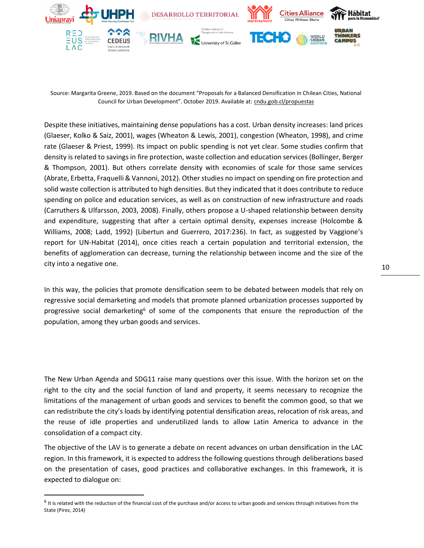

Source: Margarita Greene, 2019. Based on the document "Proposals for a Balanced Densification in Chilean Cities, National Council for Urban Development". October 2019. Available at: cndu.gob.cl/propuestas

Despite these initiatives, maintaining dense populations has a cost. Urban density increases: land prices (Glaeser, Kolko & Saiz, 2001), wages (Wheaton & Lewis, 2001), congestion (Wheaton, 1998), and crime rate (Glaeser & Priest, 1999). Its impact on public spending is not yet clear. Some studies confirm that density is related to savings in fire protection, waste collection and education services (Bollinger, Berger & Thompson, 2001). But others correlate density with economies of scale for those same services (Abrate, Erbetta, Fraquelli & Vannoni, 2012). Other studies no impact on spending on fire protection and solid waste collection is attributed to high densities. But they indicated that it does contribute to reduce spending on police and education services, as well as on construction of new infrastructure and roads (Carruthers & Ulfarsson, 2003, 2008). Finally, others propose a U-shaped relationship between density and expenditure, suggesting that after a certain optimal density, expenses increase (Holcombe & Williams, 2008; Ladd, 1992) (Libertun and Guerrero, 2017:236). In fact, as suggested by Vaggione's report for UN-Habitat (2014), once cities reach a certain population and territorial extension, the benefits of agglomeration can decrease, turning the relationship between income and the size of the city into a negative one.

In this way, the policies that promote densification seem to be debated between models that rely on regressive social demarketing and models that promote planned urbanization processes supported by progressive social demarketing<sup>6</sup> of some of the components that ensure the reproduction of the population, among they urban goods and services.

The New Urban Agenda and SDG11 raise many questions over this issue. With the horizon set on the right to the city and the social function of land and property, it seems necessary to recognize the limitations of the management of urban goods and services to benefit the common good, so that we can redistribute the city's loads by identifying potential densification areas, relocation of risk areas, and the reuse of idle properties and underutilized lands to allow Latin America to advance in the consolidation of a compact city.

The objective of the LAV is to generate a debate on recent advances on urban densification in the LAC region. In this framework, it is expected to address the following questions through deliberations based on the presentation of cases, good practices and collaborative exchanges. In this framework, it is expected to dialogue on:

<sup>&</sup>lt;sup>6</sup> It is related with the reduction of the financial cost of the purchase and/or access to urban goods and services through initiatives from the State (Pirez, 2014)